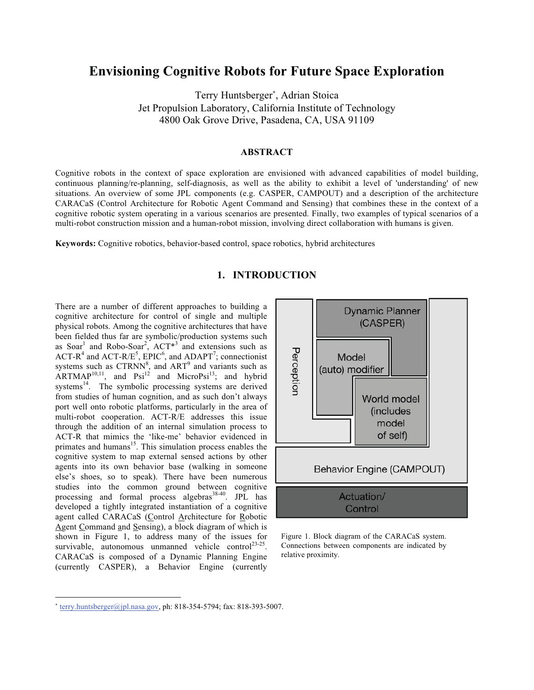# **Envisioning Cognitive Robots for Future Space Exploration**

Terry Huntsberger\*, Adrian Stoica Jet Propulsion Laboratory, California Institute of Technology 4800 Oak Grove Drive, Pasadena, CA, USA 91109

#### **ABSTRACT**

Cognitive robots in the context of space exploration are envisioned with advanced capabilities of model building, continuous planning/re-planning, self-diagnosis, as well as the ability to exhibit a level of 'understanding' of new situations. An overview of some JPL components (e.g. CASPER, CAMPOUT) and a description of the architecture CARACaS (Control Architecture for Robotic Agent Command and Sensing) that combines these in the context of a cognitive robotic system operating in a various scenarios are presented. Finally, two examples of typical scenarios of a multi-robot construction mission and a human-robot mission, involving direct collaboration with humans is given.

**Keywords:** Cognitive robotics, behavior-based control, space robotics, hybrid architectures

## **1. INTRODUCTION**

There are a number of different approaches to building a cognitive architecture for control of single and multiple physical robots. Among the cognitive architectures that have been fielded thus far are symbolic/production systems such as  $Soar<sup>1</sup>$  and Robo-Soar<sup>2</sup>, ACT<sup>\*3</sup> and extensions such as ACT-R<sup>4</sup> and ACT-R/ $E^5$ , EPIC<sup>6</sup>, and ADAPT<sup>7</sup>; connectionist systems such as  $CTRNN<sup>8</sup>$ , and  $ART<sup>9</sup>$  and variants such as  $\text{ARTMAP}^{10,11}$ , and  $\text{Psi}^{12}$  and MicroPsi<sup>13</sup>; and hybrid systems<sup>14</sup>. The symbolic processing systems are derived from studies of human cognition, and as such don't always port well onto robotic platforms, particularly in the area of multi-robot cooperation. ACT-R/E addresses this issue through the addition of an internal simulation process to ACT-R that mimics the 'like-me' behavior evidenced in primates and humans<sup>15</sup>. This simulation process enables the cognitive system to map external sensed actions by other agents into its own behavior base (walking in someone else's shoes, so to speak). There have been numerous studies into the common ground between cognitive processing and formal process algebras38-40. JPL has developed a tightly integrated instantiation of a cognitive agent called CARACaS (Control Architecture for Robotic Agent Command and Sensing), a block diagram of which is shown in Figure 1, to address many of the issues for survivable, autonomous unmanned vehicle control<sup>23-25</sup>. CARACaS is composed of a Dynamic Planning Engine (currently CASPER), a Behavior Engine (currently



Figure 1. Block diagram of the CARACaS system. Connections between components are indicated by relative proximity.

 $\overline{a}$ 

terry.huntsberger@jpl.nasa.gov, ph: 818-354-5794; fax: 818-393-5007.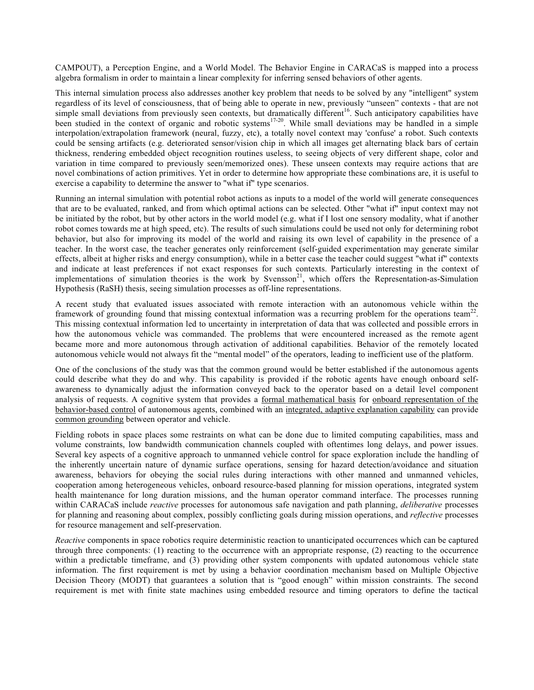CAMPOUT), a Perception Engine, and a World Model. The Behavior Engine in CARACaS is mapped into a process algebra formalism in order to maintain a linear complexity for inferring sensed behaviors of other agents.

This internal simulation process also addresses another key problem that needs to be solved by any "intelligent" system regardless of its level of consciousness, that of being able to operate in new, previously "unseen" contexts - that are not simple small deviations from previously seen contexts, but dramatically different<sup>16</sup>. Such anticipatory capabilities have been studied in the context of organic and robotic systems<sup>17-20</sup>. While small deviations may be handled in a simple interpolation/extrapolation framework (neural, fuzzy, etc), a totally novel context may 'confuse' a robot. Such contexts could be sensing artifacts (e.g. deteriorated sensor/vision chip in which all images get alternating black bars of certain thickness, rendering embedded object recognition routines useless, to seeing objects of very different shape, color and variation in time compared to previously seen/memorized ones). These unseen contexts may require actions that are novel combinations of action primitives. Yet in order to determine how appropriate these combinations are, it is useful to exercise a capability to determine the answer to "what if" type scenarios.

Running an internal simulation with potential robot actions as inputs to a model of the world will generate consequences that are to be evaluated, ranked, and from which optimal actions can be selected. Other "what if" input context may not be initiated by the robot, but by other actors in the world model (e.g. what if I lost one sensory modality, what if another robot comes towards me at high speed, etc). The results of such simulations could be used not only for determining robot behavior, but also for improving its model of the world and raising its own level of capability in the presence of a teacher. In the worst case, the teacher generates only reinforcement (self-guided experimentation may generate similar effects, albeit at higher risks and energy consumption), while in a better case the teacher could suggest "what if" contexts and indicate at least preferences if not exact responses for such contexts. Particularly interesting in the context of implementations of simulation theories is the work by Svensson<sup>21</sup>, which offers the Representation-as-Simulation Hypothesis (RaSH) thesis, seeing simulation processes as off-line representations.

A recent study that evaluated issues associated with remote interaction with an autonomous vehicle within the framework of grounding found that missing contextual information was a recurring problem for the operations team<sup>22</sup>. This missing contextual information led to uncertainty in interpretation of data that was collected and possible errors in how the autonomous vehicle was commanded. The problems that were encountered increased as the remote agent became more and more autonomous through activation of additional capabilities. Behavior of the remotely located autonomous vehicle would not always fit the "mental model" of the operators, leading to inefficient use of the platform.

One of the conclusions of the study was that the common ground would be better established if the autonomous agents could describe what they do and why. This capability is provided if the robotic agents have enough onboard selfawareness to dynamically adjust the information conveyed back to the operator based on a detail level component analysis of requests. A cognitive system that provides a formal mathematical basis for onboard representation of the behavior-based control of autonomous agents, combined with an integrated, adaptive explanation capability can provide common grounding between operator and vehicle.

Fielding robots in space places some restraints on what can be done due to limited computing capabilities, mass and volume constraints, low bandwidth communication channels coupled with oftentimes long delays, and power issues. Several key aspects of a cognitive approach to unmanned vehicle control for space exploration include the handling of the inherently uncertain nature of dynamic surface operations, sensing for hazard detection/avoidance and situation awareness, behaviors for obeying the social rules during interactions with other manned and unmanned vehicles, cooperation among heterogeneous vehicles, onboard resource-based planning for mission operations, integrated system health maintenance for long duration missions, and the human operator command interface. The processes running within CARACaS include *reactive* processes for autonomous safe navigation and path planning, *deliberative* processes for planning and reasoning about complex, possibly conflicting goals during mission operations, and *reflective* processes for resource management and self-preservation.

*Reactive* components in space robotics require deterministic reaction to unanticipated occurrences which can be captured through three components: (1) reacting to the occurrence with an appropriate response, (2) reacting to the occurrence within a predictable timeframe, and (3) providing other system components with updated autonomous vehicle state information. The first requirement is met by using a behavior coordination mechanism based on Multiple Objective Decision Theory (MODT) that guarantees a solution that is "good enough" within mission constraints. The second requirement is met with finite state machines using embedded resource and timing operators to define the tactical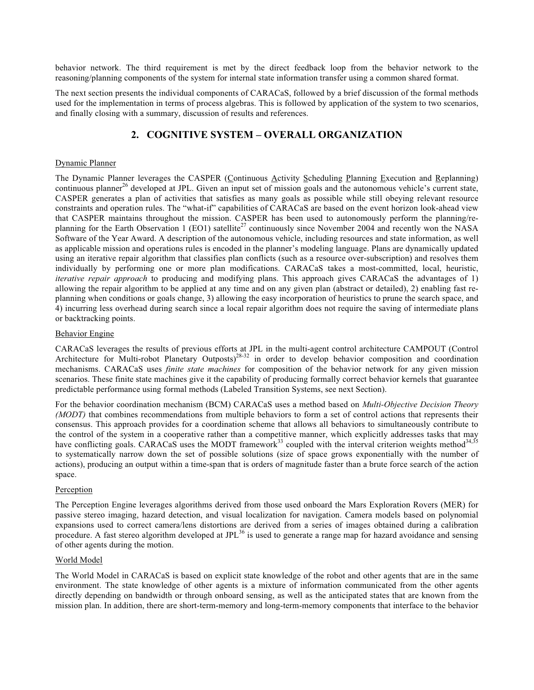behavior network. The third requirement is met by the direct feedback loop from the behavior network to the reasoning/planning components of the system for internal state information transfer using a common shared format.

The next section presents the individual components of CARACaS, followed by a brief discussion of the formal methods used for the implementation in terms of process algebras. This is followed by application of the system to two scenarios, and finally closing with a summary, discussion of results and references.

## **2. COGNITIVE SYSTEM – OVERALL ORGANIZATION**

#### Dynamic Planner

The Dynamic Planner leverages the CASPER (Continuous Activity Scheduling Planning Execution and Replanning) continuous planner<sup>26</sup> developed at JPL. Given an input set of mission goals and the autonomous vehicle's current state, CASPER generates a plan of activities that satisfies as many goals as possible while still obeying relevant resource constraints and operation rules. The "what-if" capabilities of CARACaS are based on the event horizon look-ahead view that CASPER maintains throughout the mission. CASPER has been used to autonomously perform the planning/replanning for the Earth Observation 1 (EO1) satellite<sup>27</sup> continuously since November 2004 and recently won the NASA Software of the Year Award. A description of the autonomous vehicle, including resources and state information, as well as applicable mission and operations rules is encoded in the planner's modeling language. Plans are dynamically updated using an iterative repair algorithm that classifies plan conflicts (such as a resource over-subscription) and resolves them individually by performing one or more plan modifications. CARACaS takes a most-committed, local, heuristic, *iterative repair approach* to producing and modifying plans. This approach gives CARACaS the advantages of 1) allowing the repair algorithm to be applied at any time and on any given plan (abstract or detailed), 2) enabling fast replanning when conditions or goals change, 3) allowing the easy incorporation of heuristics to prune the search space, and 4) incurring less overhead during search since a local repair algorithm does not require the saving of intermediate plans or backtracking points.

#### Behavior Engine

CARACaS leverages the results of previous efforts at JPL in the multi-agent control architecture CAMPOUT (Control Architecture for Multi-robot Planetary Outposts)<sup>28-32</sup> in order to develop behavior composition and coordination mechanisms. CARACaS uses *finite state machines* for composition of the behavior network for any given mission scenarios. These finite state machines give it the capability of producing formally correct behavior kernels that guarantee predictable performance using formal methods (Labeled Transition Systems, see next Section).

For the behavior coordination mechanism (BCM) CARACaS uses a method based on *Multi-Objective Decision Theory (MODT)* that combines recommendations from multiple behaviors to form a set of control actions that represents their consensus. This approach provides for a coordination scheme that allows all behaviors to simultaneously contribute to the control of the system in a cooperative rather than a competitive manner, which explicitly addresses tasks that may have conflicting goals. CARACaS uses the MODT framework<sup>33</sup> coupled with the interval criterion weights method<sup>34,35</sup> to systematically narrow down the set of possible solutions (size of space grows exponentially with the number of actions), producing an output within a time-span that is orders of magnitude faster than a brute force search of the action space.

#### Perception

The Perception Engine leverages algorithms derived from those used onboard the Mars Exploration Rovers (MER) for passive stereo imaging, hazard detection, and visual localization for navigation. Camera models based on polynomial expansions used to correct camera/lens distortions are derived from a series of images obtained during a calibration procedure. A fast stereo algorithm developed at JPL $^{36}$  is used to generate a range map for hazard avoidance and sensing of other agents during the motion.

#### World Model

The World Model in CARACaS is based on explicit state knowledge of the robot and other agents that are in the same environment. The state knowledge of other agents is a mixture of information communicated from the other agents directly depending on bandwidth or through onboard sensing, as well as the anticipated states that are known from the mission plan. In addition, there are short-term-memory and long-term-memory components that interface to the behavior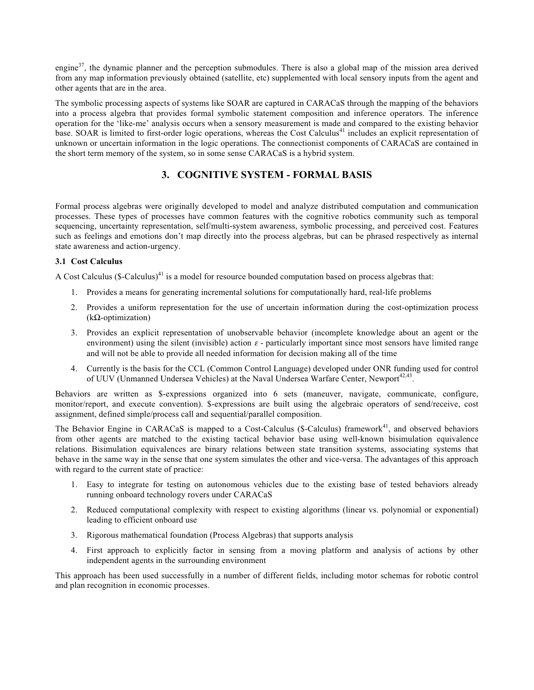engine<sup>37</sup>, the dynamic planner and the perception submodules. There is also a global map of the mission area derived from any map information previously obtained (satellite, etc) supplemented with local sensory inputs from the agent and other agents that are in the area.

The symbolic processing aspects of systems like SOAR are captured in CARACaS through the mapping of the behaviors into a process algebra that provides formal symbolic statement composition and inference operators. The inference operation for the 'like-me' analysis occurs when a sensory measurement is made and compared to the existing behavior base. SOAR is limited to first-order logic operations, whereas the Cost Calculus<sup>41</sup> includes an explicit representation of unknown or uncertain information in the logic operations. The connectionist components of CARACaS are contained in the short term memory of the system, so in some sense CARACaS is a hybrid system.

## **3. COGNITIVE SYSTEM - FORMAL BASIS**

Formal process algebras were originally developed to model and analyze distributed computation and communication processes. These types of processes have common features with the cognitive robotics community such as temporal sequencing, uncertainty representation, self/multi-system awareness, symbolic processing, and perceived cost. Features such as feelings and emotions don't map directly into the process algebras, but can be phrased respectively as internal state awareness and action-urgency.

#### **3.1 Cost Calculus**

A Cost Calculus  $(\text{\$-Calculus})^{41}$  is a model for resource bounded computation based on process algebras that:

- 1. Provides a means for generating incremental solutions for computationally hard, real-life problems
- 2. Provides a uniform representation for the use of uncertain information during the cost-optimization process  $(k\Omega$ -optimization)
- 3. Provides an explicit representation of unobservable behavior (incomplete knowledge about an agent or the environment) using the silent (invisible) action  $\varepsilon$  - particularly important since most sensors have limited range and will not be able to provide all needed information for decision making all of the time
- 4. Currently is the basis for the CCL (Common Control Language) developed under ONR funding used for control of UUV (Unmanned Undersea Vehicles) at the Naval Undersea Warfare Center, Newport<sup>42,43</sup>.

Behaviors are written as \$-expressions organized into 6 sets (maneuver, navigate, communicate, configure, monitor/report, and execute convention). \$-expressions are built using the algebraic operators of send/receive, cost assignment, defined simple/process call and sequential/parallel composition.

The Behavior Engine in CARACaS is mapped to a Cost-Calculus (\$-Calculus) framework<sup>41</sup>, and observed behaviors from other agents are matched to the existing tactical behavior base using well-known bisimulation equivalence relations. Bisimulation equivalences are binary relations between state transition systems, associating systems that behave in the same way in the sense that one system simulates the other and vice-versa. The advantages of this approach with regard to the current state of practice:

- 1. Easy to integrate for testing on autonomous vehicles due to the existing base of tested behaviors already running onboard technology rovers under CARACaS
- 2. Reduced computational complexity with respect to existing algorithms (linear vs. polynomial or exponential) leading to efficient onboard use
- 3. Rigorous mathematical foundation (Process Algebras) that supports analysis
- 4. First approach to explicitly factor in sensing from a moving platform and analysis of actions by other independent agents in the surrounding environment

This approach has been used successfully in a number of different fields, including motor schemas for robotic control and plan recognition in economic processes.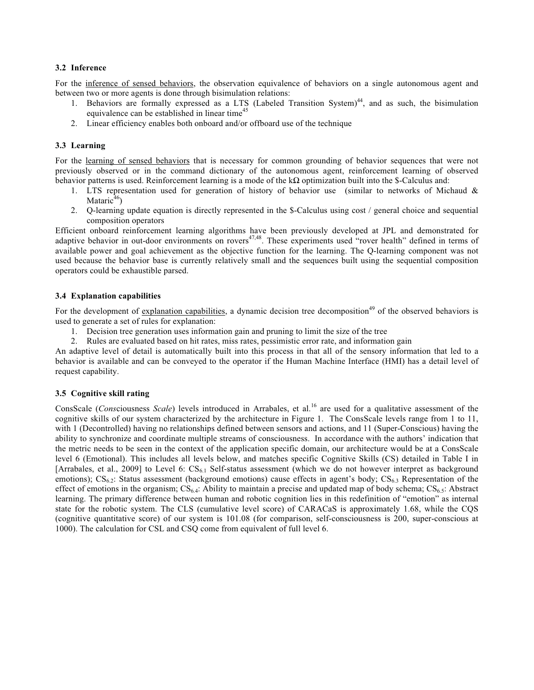#### **3.2 Inference**

For the inference of sensed behaviors, the observation equivalence of behaviors on a single autonomous agent and between two or more agents is done through bisimulation relations:

- 1. Behaviors are formally expressed as a LTS (Labeled Transition System)<sup>44</sup>, and as such, the bisimulation equivalence can be established in linear time<sup>45</sup>
- 2. Linear efficiency enables both onboard and/or offboard use of the technique

#### **3.3 Learning**

For the learning of sensed behaviors that is necessary for common grounding of behavior sequences that were not previously observed or in the command dictionary of the autonomous agent, reinforcement learning of observed behavior patterns is used. Reinforcement learning is a mode of the  $k\Omega$  optimization built into the \$-Calculus and:

- 1. LTS representation used for generation of history of behavior use (similar to networks of Michaud & Matari $c^{46}$ )
- 2. Q-learning update equation is directly represented in the \$-Calculus using cost / general choice and sequential composition operators

Efficient onboard reinforcement learning algorithms have been previously developed at JPL and demonstrated for adaptive behavior in out-door environments on rovers<sup>47,48</sup>. These experiments used "rover health" defined in terms of available power and goal achievement as the objective function for the learning. The Q-learning component was not used because the behavior base is currently relatively small and the sequences built using the sequential composition operators could be exhaustible parsed.

#### **3.4 Explanation capabilities**

For the development of explanation capabilities, a dynamic decision tree decomposition<sup>49</sup> of the observed behaviors is used to generate a set of rules for explanation:

- 1. Decision tree generation uses information gain and pruning to limit the size of the tree
- 2. Rules are evaluated based on hit rates, miss rates, pessimistic error rate, and information gain

An adaptive level of detail is automatically built into this process in that all of the sensory information that led to a behavior is available and can be conveyed to the operator if the Human Machine Interface (HMI) has a detail level of request capability.

#### **3.5 Cognitive skill rating**

ConsScale (*Consciousness Scale*) levels introduced in Arrabales, et al.<sup>16</sup> are used for a qualitative assessment of the cognitive skills of our system characterized by the architecture in Figure 1. The ConsScale levels range from 1 to 11, with 1 (Decontrolled) having no relationships defined between sensors and actions, and 11 (Super-Conscious) having the ability to synchronize and coordinate multiple streams of consciousness. In accordance with the authors' indication that the metric needs to be seen in the context of the application specific domain, our architecture would be at a ConsScale level 6 (Emotional). This includes all levels below, and matches specific Cognitive Skills (CS) detailed in Table I in [Arrabales, et al., 2009] to Level 6: CS<sub>6.1</sub> Self-status assessment (which we do not however interpret as background emotions);  $CS_{6.2}$ : Status assessment (background emotions) cause effects in agent's body;  $CS_{6.3}$  Representation of the effect of emotions in the organism;  $CS_{6.4}$ : Ability to maintain a precise and updated map of body schema;  $CS_{6.5}$ : Abstract learning. The primary difference between human and robotic cognition lies in this redefinition of "emotion" as internal state for the robotic system. The CLS (cumulative level score) of CARACaS is approximately 1.68, while the CQS (cognitive quantitative score) of our system is 101.08 (for comparison, self-consciousness is 200, super-conscious at 1000). The calculation for CSL and CSQ come from equivalent of full level 6.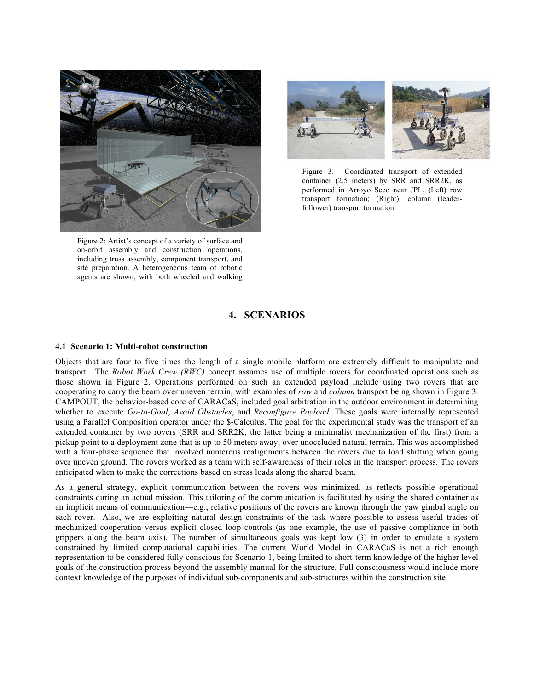

Figure 2: Artist's concept of a variety of surface and on-orbit assembly and construction operations, including truss assembly, component transport, and site preparation. A heterogeneous team of robotic agents are shown, with both wheeled and walking



Figure 3. Coordinated transport of extended container (2.5 meters) by SRR and SRR2K, as performed in Arroyo Seco near JPL. (Left) row transport formation; (Right): column (leaderfollower) transport formation

## **4. SCENARIOS**

#### **4.1 Scenario 1: Multi-robot construction**

Objects that are four to five times the length of a single mobile platform are extremely difficult to manipulate and transport. The *Robot Work Crew (RWC)* concept assumes use of multiple rovers for coordinated operations such as those shown in Figure 2. Operations performed on such an extended payload include using two rovers that are cooperating to carry the beam over uneven terrain, with examples of *row* and *column* transport being shown in Figure 3. CAMPOUT, the behavior-based core of CARACaS, included goal arbitration in the outdoor environment in determining whether to execute *Go-to-Goal*, *Avoid Obstacles*, and *Reconfigure Payload*. These goals were internally represented using a Parallel Composition operator under the \$-Calculus. The goal for the experimental study was the transport of an extended container by two rovers (SRR and SRR2K, the latter being a minimalist mechanization of the first) from a pickup point to a deployment zone that is up to 50 meters away, over unoccluded natural terrain. This was accomplished with a four-phase sequence that involved numerous realignments between the rovers due to load shifting when going over uneven ground. The rovers worked as a team with self-awareness of their roles in the transport process. The rovers anticipated when to make the corrections based on stress loads along the shared beam.

As a general strategy, explicit communication between the rovers was minimized, as reflects possible operational constraints during an actual mission. This tailoring of the communication is facilitated by using the shared container as an implicit means of communication—e.g., relative positions of the rovers are known through the yaw gimbal angle on each rover. Also, we are exploiting natural design constraints of the task where possible to assess useful trades of mechanized cooperation versus explicit closed loop controls (as one example, the use of passive compliance in both grippers along the beam axis). The number of simultaneous goals was kept low (3) in order to emulate a system constrained by limited computational capabilities. The current World Model in CARACaS is not a rich enough representation to be considered fully conscious for Scenario 1, being limited to short-term knowledge of the higher level goals of the construction process beyond the assembly manual for the structure. Full consciousness would include more context knowledge of the purposes of individual sub-components and sub-structures within the construction site.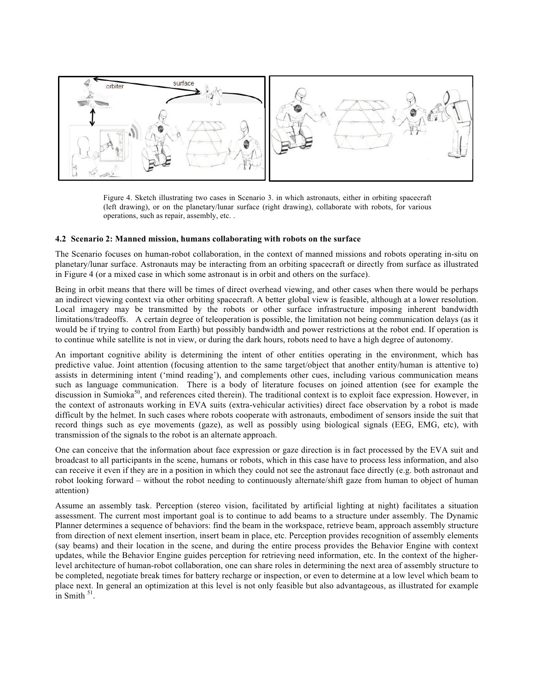

Figure 4. Sketch illustrating two cases in Scenario 3. in which astronauts, either in orbiting spacecraft (left drawing), or on the planetary/lunar surface (right drawing), collaborate with robots, for various operations, such as repair, assembly, etc. .

#### **4.2 Scenario 2: Manned mission, humans collaborating with robots on the surface**

The Scenario focuses on human-robot collaboration, in the context of manned missions and robots operating in-situ on planetary/lunar surface. Astronauts may be interacting from an orbiting spacecraft or directly from surface as illustrated in Figure 4 (or a mixed case in which some astronaut is in orbit and others on the surface).

Being in orbit means that there will be times of direct overhead viewing, and other cases when there would be perhaps an indirect viewing context via other orbiting spacecraft. A better global view is feasible, although at a lower resolution. Local imagery may be transmitted by the robots or other surface infrastructure imposing inherent bandwidth limitations/tradeoffs. A certain degree of teleoperation is possible, the limitation not being communication delays (as it would be if trying to control from Earth) but possibly bandwidth and power restrictions at the robot end. If operation is to continue while satellite is not in view, or during the dark hours, robots need to have a high degree of autonomy.

An important cognitive ability is determining the intent of other entities operating in the environment, which has predictive value. Joint attention (focusing attention to the same target/object that another entity/human is attentive to) assists in determining intent ('mind reading'), and complements other cues, including various communication means such as language communication. There is a body of literature focuses on joined attention (see for example the discussion in Sumioka<sup>50</sup>, and references cited therein). The traditional context is to exploit face expression. However, in the context of astronauts working in EVA suits (extra-vehicular activities) direct face observation by a robot is made difficult by the helmet. In such cases where robots cooperate with astronauts, embodiment of sensors inside the suit that record things such as eye movements (gaze), as well as possibly using biological signals (EEG, EMG, etc), with transmission of the signals to the robot is an alternate approach.

One can conceive that the information about face expression or gaze direction is in fact processed by the EVA suit and broadcast to all participants in the scene, humans or robots, which in this case have to process less information, and also can receive it even if they are in a position in which they could not see the astronaut face directly (e.g. both astronaut and robot looking forward – without the robot needing to continuously alternate/shift gaze from human to object of human attention)

Assume an assembly task. Perception (stereo vision, facilitated by artificial lighting at night) facilitates a situation assessment. The current most important goal is to continue to add beams to a structure under assembly. The Dynamic Planner determines a sequence of behaviors: find the beam in the workspace, retrieve beam, approach assembly structure from direction of next element insertion, insert beam in place, etc. Perception provides recognition of assembly elements (say beams) and their location in the scene, and during the entire process provides the Behavior Engine with context updates, while the Behavior Engine guides perception for retrieving need information, etc. In the context of the higherlevel architecture of human-robot collaboration, one can share roles in determining the next area of assembly structure to be completed, negotiate break times for battery recharge or inspection, or even to determine at a low level which beam to place next. In general an optimization at this level is not only feasible but also advantageous, as illustrated for example in Smith  $51$ .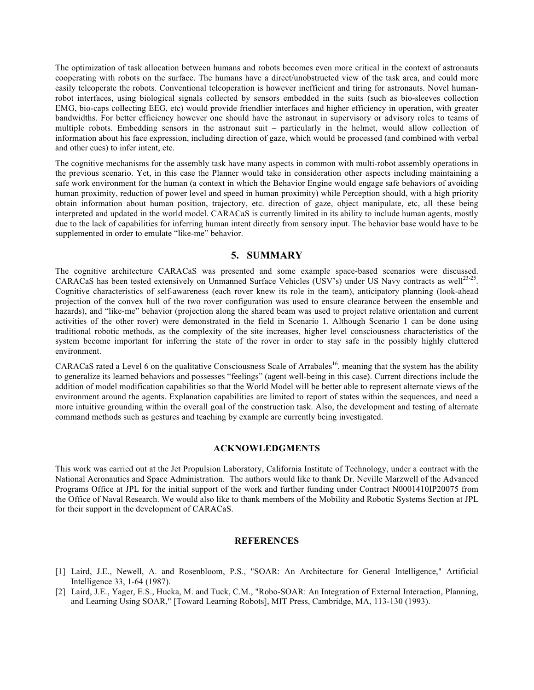The optimization of task allocation between humans and robots becomes even more critical in the context of astronauts cooperating with robots on the surface. The humans have a direct/unobstructed view of the task area, and could more easily teleoperate the robots. Conventional teleoperation is however inefficient and tiring for astronauts. Novel humanrobot interfaces, using biological signals collected by sensors embedded in the suits (such as bio-sleeves collection EMG, bio-caps collecting EEG, etc) would provide friendlier interfaces and higher efficiency in operation, with greater bandwidths. For better efficiency however one should have the astronaut in supervisory or advisory roles to teams of multiple robots. Embedding sensors in the astronaut suit – particularly in the helmet, would allow collection of information about his face expression, including direction of gaze, which would be processed (and combined with verbal and other cues) to infer intent, etc.

The cognitive mechanisms for the assembly task have many aspects in common with multi-robot assembly operations in the previous scenario. Yet, in this case the Planner would take in consideration other aspects including maintaining a safe work environment for the human (a context in which the Behavior Engine would engage safe behaviors of avoiding human proximity, reduction of power level and speed in human proximity) while Perception should, with a high priority obtain information about human position, trajectory, etc. direction of gaze, object manipulate, etc, all these being interpreted and updated in the world model. CARACaS is currently limited in its ability to include human agents, mostly due to the lack of capabilities for inferring human intent directly from sensory input. The behavior base would have to be supplemented in order to emulate "like-me" behavior.

#### **5. SUMMARY**

The cognitive architecture CARACaS was presented and some example space-based scenarios were discussed. CARACaS has been tested extensively on Unmanned Surface Vehicles (USV's) under US Navy contracts as well<sup>23-25</sup>. Cognitive characteristics of self-awareness (each rover knew its role in the team), anticipatory planning (look-ahead projection of the convex hull of the two rover configuration was used to ensure clearance between the ensemble and hazards), and "like-me" behavior (projection along the shared beam was used to project relative orientation and current activities of the other rover) were demonstrated in the field in Scenario 1. Although Scenario 1 can be done using traditional robotic methods, as the complexity of the site increases, higher level consciousness characteristics of the system become important for inferring the state of the rover in order to stay safe in the possibly highly cluttered environment.

CARACaS rated a Level 6 on the qualitative Consciousness Scale of Arrabales<sup>16</sup>, meaning that the system has the ability to generalize its learned behaviors and possesses "feelings" (agent well-being in this case). Current directions include the addition of model modification capabilities so that the World Model will be better able to represent alternate views of the environment around the agents. Explanation capabilities are limited to report of states within the sequences, and need a more intuitive grounding within the overall goal of the construction task. Also, the development and testing of alternate command methods such as gestures and teaching by example are currently being investigated.

#### **ACKNOWLEDGMENTS**

This work was carried out at the Jet Propulsion Laboratory, California Institute of Technology, under a contract with the National Aeronautics and Space Administration. The authors would like to thank Dr. Neville Marzwell of the Advanced Programs Office at JPL for the initial support of the work and further funding under Contract N0001410IP20075 from the Office of Naval Research. We would also like to thank members of the Mobility and Robotic Systems Section at JPL for their support in the development of CARACaS.

#### **REFERENCES**

- [1] Laird, J.E., Newell, A. and Rosenbloom, P.S., "SOAR: An Architecture for General Intelligence," Artificial Intelligence 33, 1-64 (1987).
- [2] Laird, J.E., Yager, E.S., Hucka, M. and Tuck, C.M., "Robo-SOAR: An Integration of External Interaction, Planning, and Learning Using SOAR," [Toward Learning Robots], MIT Press, Cambridge, MA, 113-130 (1993).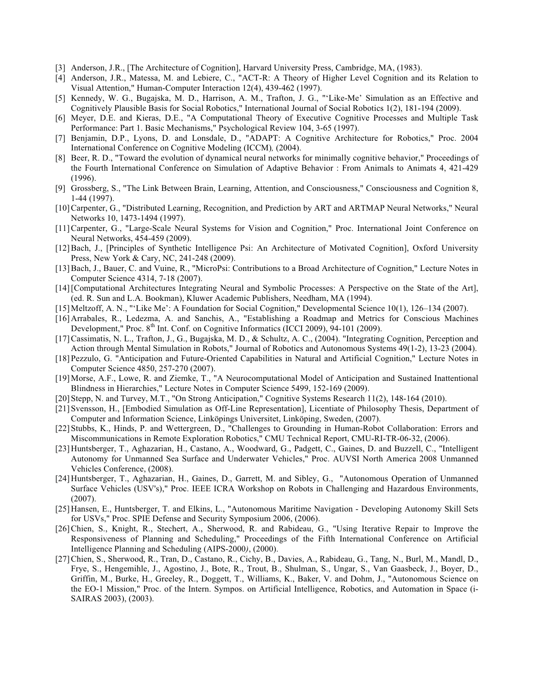- [3] Anderson, J.R., [The Architecture of Cognition], Harvard University Press, Cambridge, MA, (1983).
- [4] Anderson, J.R., Matessa, M. and Lebiere, C., "ACT-R: A Theory of Higher Level Cognition and its Relation to Visual Attention," Human-Computer Interaction 12(4), 439-462 (1997).
- [5] Kennedy, W. G., Bugajska, M. D., Harrison, A. M., Trafton, J. G., "'Like-Me' Simulation as an Effective and Cognitively Plausible Basis for Social Robotics," International Journal of Social Robotics 1(2), 181-194 (2009).
- [6] Meyer, D.E. and Kieras, D.E., "A Computational Theory of Executive Cognitive Processes and Multiple Task Performance: Part 1. Basic Mechanisms," Psychological Review 104, 3-65 (1997).
- [7] Benjamin, D.P., Lyons, D. and Lonsdale, D., "ADAPT: A Cognitive Architecture for Robotics," Proc. 2004 International Conference on Cognitive Modeling (ICCM)*,* (2004).
- [8] Beer, R. D., "Toward the evolution of dynamical neural networks for minimally cognitive behavior," Proceedings of the Fourth International Conference on Simulation of Adaptive Behavior : From Animals to Animats 4, 421-429 (1996).
- [9] Grossberg, S., "The Link Between Brain, Learning, Attention, and Consciousness," Consciousness and Cognition 8, 1-44 (1997).
- [10]Carpenter, G., "Distributed Learning, Recognition, and Prediction by ART and ARTMAP Neural Networks," Neural Networks 10, 1473-1494 (1997).
- [11]Carpenter, G., "Large-Scale Neural Systems for Vision and Cognition," Proc. International Joint Conference on Neural Networks, 454-459 (2009).
- [12]Bach, J., [Principles of Synthetic Intelligence Psi: An Architecture of Motivated Cognition], Oxford University Press, New York & Cary, NC, 241-248 (2009).
- [13]Bach, J., Bauer, C. and Vuine, R., "MicroPsi: Contributions to a Broad Architecture of Cognition," Lecture Notes in Computer Science 4314, 7-18 (2007).
- [14][Computational Architectures Integrating Neural and Symbolic Processes: A Perspective on the State of the Art], (ed. R. Sun and L.A. Bookman), Kluwer Academic Publishers, Needham, MA (1994).
- [15]Meltzoff, A. N., "'Like Me': A Foundation for Social Cognition," Developmental Science 10(1), 126–134 (2007).
- [16]Arrabales, R., Ledezma, A. and Sanchis, A., "Establishing a Roadmap and Metrics for Conscious Machines Development," Proc.  $8<sup>th</sup>$  Int. Conf. on Cognitive Informatics (ICCI 2009), 94-101 (2009).
- [17]Cassimatis, N. L., Trafton, J., G., Bugajska, M. D., & Schultz, A. C., (2004). "Integrating Cognition, Perception and Action through Mental Simulation in Robots," Journal of Robotics and Autonomous Systems 49(1-2), 13-23 (2004).
- [18] Pezzulo, G. "Anticipation and Future-Oriented Capabilities in Natural and Artificial Cognition," Lecture Notes in Computer Science 4850, 257-270 (2007).
- [19]Morse, A.F., Lowe, R. and Ziemke, T., "A Neurocomputational Model of Anticipation and Sustained Inattentional Blindness in Hierarchies," Lecture Notes in Computer Science 5499, 152-169 (2009).
- [20] Stepp, N. and Turvey, M.T., "On Strong Anticipation," Cognitive Systems Research 11(2), 148-164 (2010).
- [21] Svensson, H., [Embodied Simulation as Off-Line Representation], Licentiate of Philosophy Thesis, Department of Computer and Information Science, Linköpings Universitet, Linköping, Sweden, (2007).
- [22] Stubbs, K., Hinds, P. and Wettergreen, D., "Challenges to Grounding in Human-Robot Collaboration: Errors and Miscommunications in Remote Exploration Robotics," CMU Technical Report, CMU-RI-TR-06-32, (2006).
- [23]Huntsberger, T., Aghazarian, H., Castano, A., Woodward, G., Padgett, C., Gaines, D. and Buzzell, C., "Intelligent Autonomy for Unmanned Sea Surface and Underwater Vehicles," Proc. AUVSI North America 2008 Unmanned Vehicles Conference, (2008).
- [24]Huntsberger, T., Aghazarian, H., Gaines, D., Garrett, M. and Sibley, G., "Autonomous Operation of Unmanned Surface Vehicles (USV's)," Proc. IEEE ICRA Workshop on Robots in Challenging and Hazardous Environments, (2007).
- [25]Hansen, E., Huntsberger, T. and Elkins, L., "Autonomous Maritime Navigation Developing Autonomy Skill Sets for USVs," Proc. SPIE Defense and Security Symposium 2006, (2006).
- [26]Chien, S., Knight, R., Stechert, A., Sherwood, R. and Rabideau, G., "Using Iterative Repair to Improve the Responsiveness of Planning and Scheduling," Proceedings of the Fifth International Conference on Artificial Intelligence Planning and Scheduling (AIPS-2000*)*, (2000).
- [27]Chien, S., Sherwood, R., Tran, D., Castano, R., Cichy, B., Davies, A., Rabideau, G., Tang, N., Burl, M., Mandl, D., Frye, S., Hengemihle, J., Agostino, J., Bote, R., Trout, B., Shulman, S., Ungar, S., Van Gaasbeck, J., Boyer, D., Griffin, M., Burke, H., Greeley, R., Doggett, T., Williams, K., Baker, V. and Dohm, J., "Autonomous Science on the EO-1 Mission," Proc. of the Intern. Sympos. on Artificial Intelligence, Robotics, and Automation in Space (i-SAIRAS 2003), (2003).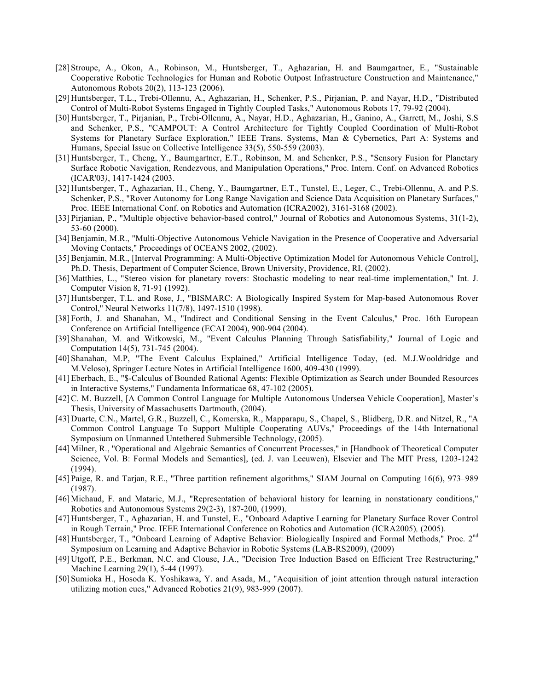- [28] Stroupe, A., Okon, A., Robinson, M., Huntsberger, T., Aghazarian, H. and Baumgartner, E., "Sustainable Cooperative Robotic Technologies for Human and Robotic Outpost Infrastructure Construction and Maintenance," Autonomous Robots 20(2), 113-123 (2006).
- [29]Huntsberger, T.L., Trebi-Ollennu, A., Aghazarian, H., Schenker, P.S., Pirjanian, P. and Nayar, H.D., "Distributed Control of Multi-Robot Systems Engaged in Tightly Coupled Tasks," Autonomous Robots 17, 79-92 (2004).
- [30]Huntsberger, T., Pirjanian, P., Trebi-Ollennu, A., Nayar, H.D., Aghazarian, H., Ganino, A., Garrett, M., Joshi, S.S and Schenker, P.S., "CAMPOUT: A Control Architecture for Tightly Coupled Coordination of Multi-Robot Systems for Planetary Surface Exploration," IEEE Trans. Systems, Man & Cybernetics, Part A: Systems and Humans, Special Issue on Collective Intelligence 33(5), 550-559 (2003).
- [31]Huntsberger, T., Cheng, Y., Baumgartner, E.T., Robinson, M. and Schenker, P.S., "Sensory Fusion for Planetary Surface Robotic Navigation, Rendezvous, and Manipulation Operations," Proc. Intern. Conf. on Advanced Robotics (ICAR'03*)*, 1417-1424 (2003.
- [32]Huntsberger, T., Aghazarian, H., Cheng, Y., Baumgartner, E.T., Tunstel, E., Leger, C., Trebi-Ollennu, A. and P.S. Schenker, P.S., "Rover Autonomy for Long Range Navigation and Science Data Acquisition on Planetary Surfaces," Proc. IEEE International Conf. on Robotics and Automation (ICRA2002), 3161-3168 (2002).
- [33] Pirjanian, P., "Multiple objective behavior-based control," Journal of Robotics and Autonomous Systems, 31(1-2), 53-60 (2000).
- [34]Benjamin, M.R., "Multi-Objective Autonomous Vehicle Navigation in the Presence of Cooperative and Adversarial Moving Contacts," Proceedings of OCEANS 2002, (2002).
- [35]Benjamin, M.R., [Interval Programming: A Multi-Objective Optimization Model for Autonomous Vehicle Control], Ph.D. Thesis, Department of Computer Science, Brown University, Providence, RI, (2002).
- [36]Matthies, L., "Stereo vision for planetary rovers: Stochastic modeling to near real-time implementation," Int. J. Computer Vision 8, 71-91 (1992).
- [37]Huntsberger, T.L. and Rose, J., ''BISMARC: A Biologically Inspired System for Map-based Autonomous Rover Control,'' Neural Networks 11(7/8), 1497-1510 (1998).
- [38] Forth, J. and Shanahan, M., "Indirect and Conditional Sensing in the Event Calculus," Proc. 16th European Conference on Artificial Intelligence (ECAI 2004), 900-904 (2004).
- [39] Shanahan, M. and Witkowski, M., "Event Calculus Planning Through Satisfiability," Journal of Logic and Computation 14(5), 731-745 (2004).
- [40] Shanahan, M.P, "The Event Calculus Explained," Artificial Intelligence Today, (ed. M.J.Wooldridge and M.Veloso), Springer Lecture Notes in Artificial Intelligence 1600, 409-430 (1999).
- [41]Eberbach, E., "\$-Calculus of Bounded Rational Agents: Flexible Optimization as Search under Bounded Resources in Interactive Systems," Fundamenta Informaticae 68, 47-102 (2005).
- [42]C. M. Buzzell, [A Common Control Language for Multiple Autonomous Undersea Vehicle Cooperation], Master's Thesis, University of Massachusetts Dartmouth, (2004).
- [43]Duarte, C.N., Martel, G.R., Buzzell, C., Komerska, R., Mapparapu, S., Chapel, S., Blidberg, D.R. and Nitzel, R., ''A Common Control Language To Support Multiple Cooperating AUVs,'' Proceedings of the 14th International Symposium on Unmanned Untethered Submersible Technology, (2005).
- [44]Milner, R., ''Operational and Algebraic Semantics of Concurrent Processes,'' in [Handbook of Theoretical Computer Science, Vol. B: Formal Models and Semantics], (ed. J. van Leeuwen), Elsevier and The MIT Press, 1203-1242 (1994).
- [45] Paige, R. and Tarjan, R.E., ''Three partition refinement algorithms,'' SIAM Journal on Computing 16(6), 973–989 (1987).
- [46]Michaud, F. and Mataric, M.J., "Representation of behavioral history for learning in nonstationary conditions," Robotics and Autonomous Systems 29(2-3), 187-200, (1999).
- [47]Huntsberger, T., Aghazarian, H. and Tunstel, E., "Onboard Adaptive Learning for Planetary Surface Rover Control in Rough Terrain," Proc. IEEE International Conference on Robotics and Automation (ICRA2005)*,* (2005).
- [48] Huntsberger, T., "Onboard Learning of Adaptive Behavior: Biologically Inspired and Formal Methods," Proc. 2<sup>nd</sup> Symposium on Learning and Adaptive Behavior in Robotic Systems (LAB-RS2009), (2009)
- [49]Utgoff, P.E., Berkman, N.C. and Clouse, J.A., ''Decision Tree Induction Based on Efficient Tree Restructuring,'' Machine Learning 29(1), 5-44 (1997).
- [50] Sumioka H., Hosoda K. Yoshikawa, Y. and Asada, M., "Acquisition of joint attention through natural interaction utilizing motion cues," Advanced Robotics 21(9), 983-999 (2007).